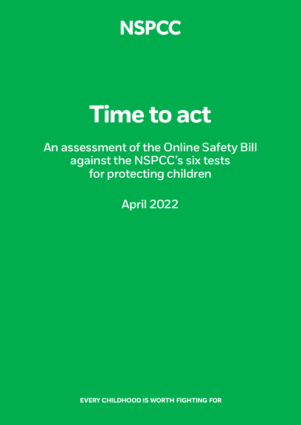**NSPCC** 

# **Time to act**

**An assessment of the Online Safety Bill against the NSPCC's six tests for protecting children** 

**April 2022** 

**EVERY CHILDHOOD IS WORTH FIGHTING FOR**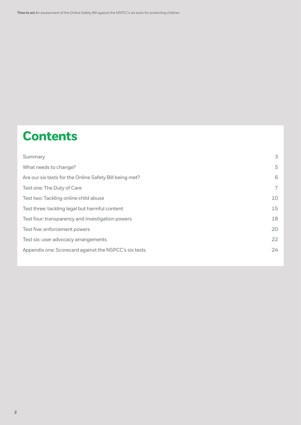# **Contents**

| Summary                                                 | 3              |
|---------------------------------------------------------|----------------|
| What needs to change?                                   | 5              |
| Are our six tests for the Online Safety Bill being met? | 6              |
| Test one: The Duty of Care                              | $\overline{7}$ |
| Test two: Tackling online child abuse                   | 10             |
| Test three: tackling legal but harmful content          | 15             |
| Test four: transparency and investigation powers        | 18             |
| Test five: enforcement powers                           | 20             |
| Test six: user advocacy arrangements                    | 22             |
| Appendix one: Scorecard against the NSPCC's six tests   | 24             |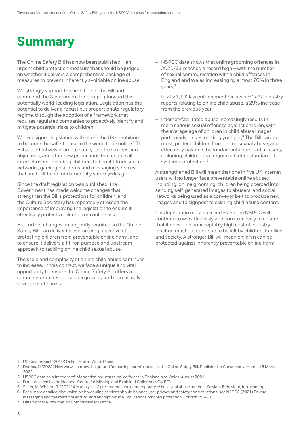# <span id="page-2-0"></span>**Summary**

The Online Safety Bill has now been published – an urgent child protection measure that should be judged on whether it delivers a comprehensive package of measures to prevent inherently avoidable online abuse.

We strongly support the ambition of the Bill and commend the Government for bringing forward this potentially world-leading legislation. Legislation has the potential to deliver a robust but proportionate regulatory regime, through the adoption of a framework that requires regulated companies to proactively identify and mitigate potential risks to children.

Well-designed legislation will secure the UK's ambition to become the safest place in the world to be online.<sup>1</sup> The Bill can effectively promote safety and free expression objectives, and offer new protections that enable all internet users, including children, to benefit from social networks, gaming platforms and messaging services that are built to be fundamentally safe-by-design.

Since the draft legislation was published, the Government has made welcome changes that strengthen the Bill's protections for children; and the Culture Secretary has repeatedly stressed the importance of improving the legislation to ensure it effectively protects children from online risk.

But further changes are urgently required so the Online Safety Bill can deliver its overarching objective of protecting children from preventable online harm, and to ensure it delivers a fit-for-purpose and upstream approach to tackling online child sexual abuse.

The scale and complexity of online child abuse continues to increase. In this context, we face a unique and vital opportunity to ensure the Online Safety Bill offers a commensurate response to a growing and increasingly severe set of harms:

- NSPCC data shows that online grooming offences in 2020/21 reached a record high – with the number of sexual communication with a child offences in England and Wales increasing by almost 70% in three years;3
- In 2021, UK law enforcement received 97,727 industry reports relating to online child abuse, a 29% increase from the previous year:<sup>4</sup>
- Internet-facilitated abuse increasingly results in more serious sexual offences against children, with the average age of children in child abuse images – particularly girls - trending younger;<sup>5</sup> The Bill can, and must, protect children from online sexual abuse, and effectively balance the fundamental rights of all users, including children that require a higher standard of systemic protection.<sup>6</sup>

A strengthened Bill will mean that one in five UK Internet users will no longer face preventable online abuse,<sup>7</sup> including: online grooming; children being coerced into sending self-generated images to abusers; and social networks being used as a conveyor belt to produce new images and to signpost to existing child abuse content.

This legislation must succeed – and the NSPCC will continue to work tirelessly and constructively to ensure that it does. The unacceptably high cost of industry inaction must not continue to be felt by children, families, and society. A stronger Bill will mean children can be protected against inherently preventable online harm.

1 UK Government (2019) Online Harms White Paper

- 2 Dorries, N (2022) How we will narrow the ground for barring harmful posts in the Online Safety Bill. Published in ConservativeHome, 15 March 2022
- 3 NSPCC data on a freedom of information request to police forces in England and Wales, August 2021
- 4 Data provided by the National Centre for Missing and Exploited Children (NCMEC)
- 5 Salter, M; Whitten, T. (2021) Am analysis of pre-internet and contemporary child sexual abuse material. Deviant Behaviour, forthcoming 6 For a more detailed discussion on how online services should balance user privacy and safety considerations, see NSPCC (2021) Private messaging and the rollout of end-to-end encryption: the implications for child protection. London: NSPCC
- 
- 7 Data from the Information Commissioners Office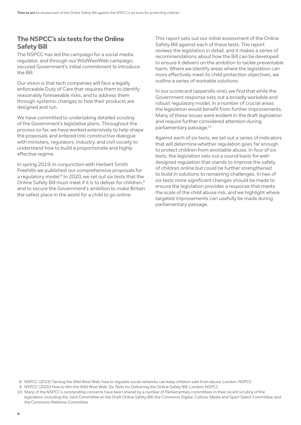### **The NSPCC's six tests for the Online Safety Bill**

The NSPCC has led the campaign for a social media regulator, and through our WildWestWeb campaign, secured Government's initial commitment to introduce the Bill.

Our vision is that tech companies will face a legally enforceable Duty of Care that requires them to identify reasonably foreseeable risks, and to address them through systemic changes to how their products are designed and run.

We have committed to undertaking detailed scrutiny of the Government's legislative plans. Throughout the process so far, we have worked extensively to help shape the proposals and entered into constructive dialogue with ministers, regulators, industry, and civil society to understand how to build a proportionate and highly effective regime.

In spring 2019, in conjunction with Herbert Smith Freehills we published our comprehensive proposals for a regulatory model.<sup>8</sup> In 2020, we set out six tests that the Online Safety Bill must meet if it is to deliver for children,<sup>9</sup> and to secure the Government's ambition to make Britain the safest place in the world for a child to go online.

This report sets out our initial assessment of the Online Safety Bill against each of these tests. The report reviews the legislation in detail, and it makes a series of recommendations about how the Bill can be developed to ensure it delivers on the ambition to tackle preventable harm. Where we identify areas where the legislation can more effectively meet its child protection objectives, we outline a series of workable solutions.

In our scorecard (appendix one), we find that while the Government response sets out a broadly workable and robust regulatory model, in a number of crucial areas the legislation would benefit from further improvements. Many of these issues were evident in the draft legislation and require further considered attention during parliamentary passage.10

Against each of six tests, we set out a series of indicators that will determine whether regulation goes far enough to protect children from avoidable abuse. In four of six tests, the legislation sets out a sound basis for welldesigned regulation that stands to improve the safety of children online but could be further strengthened to build in solutions to remaining challenges. In two of six tests more significant changes should be made to ensure the legislation provides a response that meets the scale of the child abuse risk, and we highlight where targeted improvements can usefully be made during parliamentary passage.

<sup>8</sup> NSPCC (2019) Taming the Wild West Web: how to regulate social networks can keep children safe from abuse. London: NSPCC

<sup>9</sup> NSPCC (2020) How to Win the Wild West Web: Six Tests for Delivering the Online Safety Bill. London: NSPCC

<sup>10</sup> Many of the NSPCC's outstanding concerns have been shared by a number of Parliamentary committees in their recent scrutiny of the legislation, including the Joint Committee on the Draft Online Safety Bill; the Commons Digital, Culture, Media and Sport Select Committee; and the Commons Petitions Committee.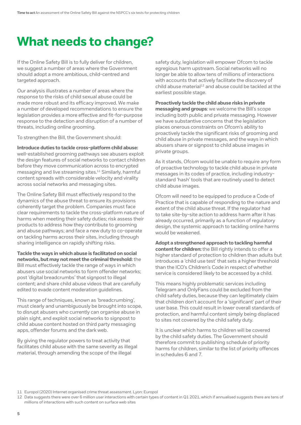# <span id="page-4-0"></span>**What needs to change?**

If the Online Safety Bill is to fully deliver for children, we suggest a number of areas where the Government should adopt a more ambitious, child-centred and targeted approach.

Our analysis illustrates a number of areas where the response to the risks of child sexual abuse could be made more robust and its efficacy improved. We make a number of developed recommendations to ensure the legislation provides a more effective and fit-for-purpose response to the detection and disruption of a number of threats, including online grooming.

To strengthen the Bill, the Government should:

**Introduce duties to tackle cross-platform child abuse:** well-established grooming pathways see abusers exploit the design features of social networks to contact children before they move communication across to encrypted messaging and live streaming sites.11 Similarly, harmful content spreads with considerable velocity and virality across social networks and messaging sites.

The Online Safety Bill must effectively respond to the dynamics of the abuse threat to ensure its provisions coherently target the problem. Companies must face clear requirements to tackle the cross-platform nature of harms when meeting their safety duties; risk assess their products to address how they contribute to grooming and abuse pathways; and face a new duty to co-operate on tackling harms across their sites, including through sharing intelligence on rapidly shifting risks.

**Tackle the ways in which abuse is facilitated on social networks, but may not meet the criminal threshold:** the Bill must effectively tackle the range of ways in which abusers use social networks to form offender networks; post 'digital breadcrumbs' that signpost to illegal content; and share child abuse videos that are carefully edited to evade content moderation guidelines.

This range of techniques, known as 'breadcrumbing', must clearly and unambiguously be brought into scope, to disrupt abusers who currently can organise abuse in plain sight, and exploit social networks to signpost to child abuse content hosted on third party messaging apps, offender forums and the dark web.

By giving the regulator powers to treat activity that facilitates child abuse with the same severity as illegal material, through amending the scope of the illegal

safety duty, legislation will empower Ofcom to tackle egregious harm upstream. Social networks will no longer be able to allow tens of millions of interactions with accounts that actively facilitate the discovery of  $\chi$ child abuse material<sup>12</sup> and abuse could be tackled at the earliest possible stage.

**Proactively tackle the child abuse risks in private messaging and groups**: we welcome the Bill's scope including both public and private messaging. However we have substantive concerns that the legislation places onerous constraints on Ofcom's ability to proactively tackle the significant risks of grooming and child abuse in private messages, and the ways in which abusers share or signpost to child abuse images in private groups.

As it stands, Ofcom would be unable to require any form of proactive technology to tackle child abuse in private messages in its codes of practice, including industrystandard 'hash' tools that are routinely used to detect child abuse images.

Ofcom will need to be equipped to produce a Code of Practice that is capable of responding to the nature and extent of the child abuse threat. If the regulator had to take site-by-site action to address harm after it has already occurred, primarily as a function of regulatory design, the systemic approach to tackling online harms would be weakened.

**Adopt a strengthened approach to tackling harmful content for children:** the Bill rightly intends to offer a higher standard of protection to children than adults but introduces a 'child use test' that sets a higher threshold than the ICO's Children's Code in respect of whether service is considered likely to be accessed by a child.

This means highly problematic services including Telegram and OnlyFans could be excluded from the child safety duties, because they can legitimately claim that children don't account for a 'significant' part of their user base. This could result in lower overall standards of protection, and harmful content simply being displaced to sites not covered by the child safety duty.

It is unclear which harms to children will be covered by the child safety duties. The Government should therefore commit to publishing schedule of priority harms for children, similar to the list of priority offences in schedules 6 and 7.

<sup>11</sup> Europol (2020) Internet organised crime threat assessment. Lyon: Europol

<sup>12</sup> Data suggests there were over 6 million user interactions with certain types of content in Q1 2021, which if annualised suggests there are tens of millions of interactions with such content on surface web sites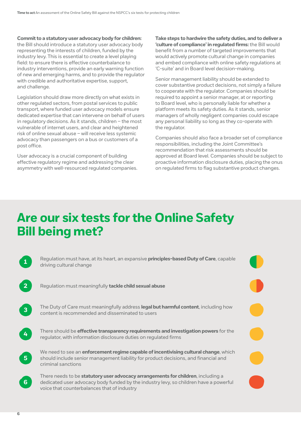<span id="page-5-0"></span>**Commit to a statutory user advocacy body for children:** 

the Bill should introduce a statutory user advocacy body representing the interests of children, funded by the industry levy. This is essential to create a level playing field: to ensure there is effective counterbalance to industry interventions, provide an early warning function of new and emerging harms, and to provide the regulator with credible and authoritative expertise, support, and challenge.

Legislation should draw more directly on what exists in other regulated sectors, from postal services to public transport, where funded user advocacy models ensure dedicated expertise that can intervene on behalf of users in regulatory decisions. As it stands, children – the most vulnerable of internet users, and clear and heightened risk of online sexual abuse – will receive less systemic advocacy than passengers on a bus or customers of a post office.

User advocacy is a crucial component of building effective regulatory regime and addressing the clear asymmetry with well-resourced regulated companies. **Take steps to hardwire the safety duties, and to deliver a 'culture of compliance' in regulated firms:** the Bill would benefit from a number of targeted improvements that would actively promote cultural change in companies and embed compliance with online safety regulations at 'C-suite' and in Board level decision-making.

Senior management liability should be extended to cover substantive product decisions, not simply a failure to cooperate with the regulator. Companies should be required to appoint a senior manager, at or reporting to Board level, who is personally liable for whether a platform meets its safety duties. As it stands, senior managers of wholly negligent companies could escape any personal liability so long as they co-operate with the regulator.

Companies should also face a broader set of compliance responsibilities, including the Joint Committee's recommendation that risk assessments should be approved at Board level. Companies should be subject to proactive information disclosure duties, placing the onus on regulated firms to flag substantive product changes.

# **Are our six tests for the Online Safety Bill being met?**

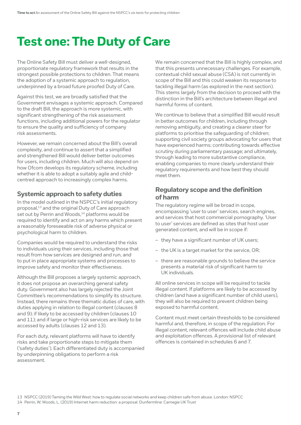# <span id="page-6-0"></span>**Test one: The Duty of Care**

The Online Safety Bill must deliver a well-designed, proportionate regulatory framework that results in the strongest possible protections to children. That means the adoption of a systemic approach to regulation, underpinned by a broad future proofed Duty of Care.

Against this test, we are broadly satisfied that the Government envisages a systemic approach. Compared to the draft Bill, the approach is more systemic, with significant strengthening of the risk assessment functions, including additional powers for the regulator to ensure the quality and sufficiency of company risk assessments.

However, we remain concerned about the Bill's overall complexity, and continue to assert that a simplified and strengthened Bill would deliver better outcomes for users, including children. Much will also depend on how Ofcom develops its regulatory scheme, including whether it is able to adopt a suitably agile and childcentred approach to increasingly complex harms.

# **Systemic approach to safety duties**

In the model outlined in the NSPCC's initial regulatory proposal,<sup>13</sup> and the original Duty of Care approach set out by Perrin and Woods,<sup>14</sup> platforms would be required to identify and act on any harms which present a reasonably foreseeable risk of adverse physical or psychological harm to children.

Companies would be required to understand the risks to individuals using their services, including those that result from how services are designed and run, and to put in place appropriate systems and processes to improve safety and monitor their effectiveness.

Although the Bill proposes a largely systemic approach, it does not propose an overarching general safety duty. Government also has largely rejected the Joint Committee's recommendations to simplify its structure. Instead, there remains three thematic duties of care, with duties applying in relation to illegal content (clauses 8 and 9); if likely to be accessed by children (clauses 10 and 11); and if large or high-risk services are likely to be accessed by adults (clauses 12 and 13).

For each duty, relevant platforms will have to identify risks and take proportionate steps to mitigate them ('safety duties'). Each differentiated duty is accompanied by underpinning obligations to perform a risk assessment.

We remain concerned that the Bill is highly complex, and that this presents unnecessary challenges. For example, contextual child sexual abuse (CSA) is not currently in scope of the Bill and this could weaken its response to tackling illegal harm (as explored in the next section). This stems largely from the decision to proceed with the distinction in the Bill's architecture between illegal and harmful forms of content.

We continue to believe that a simplified Bill would result in better outcomes for children, including through removing ambiguity, and creating a clearer steer for platforms to prioritise the safeguarding of children; supporting civil society groups advocating for users that have experienced harms; contributing towards effective scrutiny during parliamentary passage; and ultimately, through leading to more substantive compliance, enabling companies to more clearly understand their regulatory requirements and how best they should meet them.

### **Regulatory scope and the definition of harm**

The regulatory regime will be broad in scope, encompassing 'user to user' services, search engines, and services that host commercial pornography. 'User to user' services are defined as sites that host user generated content, and will be in scope if:

- they have a significant number of UK users;
- the UK is a target market for the service, OR;
- there are reasonable grounds to believe the service presents a material risk of significant harm to UK individuals.

All online services in scope will be required to tackle illegal content. If platforms are likely to be accessed by children (and have a significant number of child users), they will also be required to prevent children being exposed to harmful content.

Content must meet certain thresholds to be considered harmful and, therefore, in scope of the regulation. For illegal content, relevant offences will include child abuse and exploitation offences. A provisional list of relevant offences is contained in schedules 6 and 7.

<sup>13</sup> NSPCC (2019) Taming the Wild West: how to regulate social networks and keep children safe from abuse. London: NSPCC

<sup>14</sup> Perrin, W; Woods, L. (2019) Internet harm reduction: a proposal. Dunfermline: Carnegie UK Trust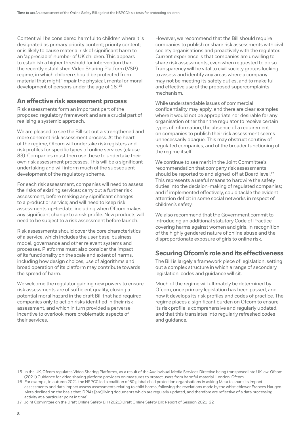Content will be considered harmful to children where it is designated as primary priority content; priority content; or is likely to cause material risk of significant harm to an 'appreciable' number of UK children. This appears to establish a higher threshold for intervention than the recently established Video Sharing Platform (VSP) regime, in which children should be protected from material that might 'impair the physical, mental or moral development of persons under the age of 18.'15

#### **An effective risk assessment process**

Risk assessments form an important part of the proposed regulatory framework and are a crucial part of realising a systemic approach.

We are pleased to see the Bill set out a strengthened and more coherent risk assessment process. At the heart of the regime, Ofcom will undertake risk registers and risk profiles for specific types of online services (clause 83). Companies must then use these to undertake their own risk assessment processes. This will be a significant undertaking and will inform much of the subsequent development of the regulatory scheme.

For each risk assessment, companies will need to assess the risks of existing services; carry out a further risk assessment, before making any significant changes to a product or service; and will need to keep risk assessments up-to-date, including when Ofcom makes any significant change to a risk profile. New products will need to be subject to a risk assessment before launch.

Risk assessments should cover the core characteristics of a service, which includes the user base, business model, governance and other relevant systems and processes. Platforms must also consider the impact of its functionality on the scale and extent of harms, including how design choices, use of algorithms and broad operation of its platform may contribute towards the spread of harm.

We welcome the regulator gaining new powers to ensure risk assessments are of sufficient quality, closing a potential moral hazard in the draft Bill that had required companies only to act on risks identified in their risk assessment, and which in turn provided a perverse incentive to overlook more problematic aspects of their services.

However, we recommend that the Bill should require companies to publish or share risk assessments with civil society organisations and proactively with the regulator. Current experience is that companies are unwilling to share risk assessments, even when requested to do so. Transparency will be vital to civil society groups looking to assess and identify any areas where a company may not be meeting its safety duties, and to make full and effective use of the proposed supercomplaints mechanism.

While understandable issues of commercial confidentiality may apply, and there are clear examples where it would not be appropriate nor desirable for any organisation other than the regulator to receive certain types of information, the absence of a requirement on companies to publish their risk assessment seems unnecessarily opaque. This may obstruct scrutiny of regulated companies, and of the broader functioning of the regime itself

We continue to see merit in the Joint Committee's recommendation that company risk assessments should be reported to and signed-off at Board level.<sup>17</sup> This represents a useful means to hardwire the safety duties into the decision-making of regulated companies; and if implemented effectively, could tackle the evident attention deficit in some social networks in respect of children's safety.

We also recommend that the Government commit to introducing an additional statutory Code of Practice covering harms against women and girls, in recognition of the highly gendered nature of online abuse and the disproportionate exposure of girls to online risk.

# **Securing Ofcom's role and its effectiveness**

The Bill is largely a framework piece of legislation, setting out a complex structure in which a range of secondary legislation, codes and guidance will sit.

Much of the regime will ultimately be determined by Ofcom, once primary legislation has been passed, and how it develops its risk profiles and codes of practice. The regime places a significant burden on Ofcom to ensure its risk profile is comprehensive and regularly updated, and that this translates into regularly refreshed codes and guidance.

17 Joint Committee on the Draft Online Safety Bill (2021) Draft Online Safety Bill: Report of Session 2021-22

<sup>15</sup> In the UK, Ofcom regulates Video Sharing Platforms, as a result of the Audiovisual Media Services Directive being transposed into UK law. Ofcom (2021) Guidance for video sharing platform providers on measures to protect users from harmful material. London: Ofcom

<sup>16</sup> For example, in autumn 2021 the NSPCC led a coalition of 60 global child protection organisations in asking Meta to share its impact assessments and data impact assess assessments relating to child harms, following the revelations made by the whistleblower Frances Haugen. Meta declined on the basis that 'DPIAs [are] living documents which are regularly updated, and therefore are reflective of a data processing activity at a particular point in time'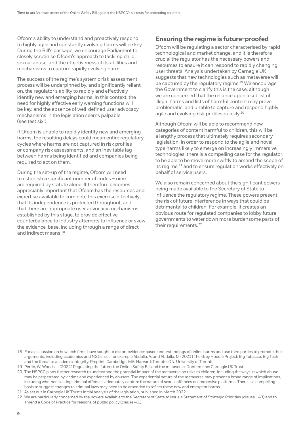Ofcom's ability to understand and proactively respond to highly agile and constantly evolving harms will be key. During the Bill's passage, we encourage Parliament to closely scrutinise Ofcom's approach to tackling child sexual abuse, and the effectiveness of its abilities and mechanisms to capture rapidly evolving harm.

The success of the regime's systemic risk assessment process will be underpinned by, and significantly reliant on, the regulator's ability to rapidly and effectively identify new and emerging harms. In this context, the need for highly effective early warning functions will be key, and the absence of well-defined user advocacy mechanisms in the legislation seems palpable (see test six.)

If Ofcom is unable to rapidly identify new and emerging harms, the resulting delays could mean entire regulatory cycles where harms are not captured in risk profiles or company risk assessments, and an inevitable lag between harms being identified and companies being required to act on them.

During the set-up of the regime, Ofcom will need to establish a significant number of codes – nine are required by statute alone. It therefore becomes appreciably important that Ofcom has the resources and expertise available to complete this exercise effectively; that its independence is protected throughout; and that there are appropriate user advocacy mechanisms established by this stage, to provide effective counterbalance to industry attempts to influence or skew the evidence-base, including through a range of direct and indirect means 18

### **Ensuring the regime is future-proofed**

Ofcom will be regulating a sector characterised by rapid technological and market change, and it is therefore crucial the regulator has the necessary powers and resources to ensure it can respond to rapidly changing user threats. Analysis undertaken by Carnegie UK suggests that new technologies such as metaverse will be captured by the regulatory regime.<sup>19</sup> We encourage the Government to clarify this is the case, although we are concerned that the reliance upon a set list of illegal harms and lists of harmful content may prove problematic, and unable to capture and respond highly agile and evolving risk profiles quickly.20

Although Ofcom will be able to recommend new categories of content harmful to children, this will be a lengthy process that ultimately requires secondary legislation. In order to respond to the agile and novel type harms likely to emerge on increasingly immersive technologies, there is a compelling case for the regulator to be able to be move more swiftly to amend the scope of its regime,<sup>21</sup> and to ensure regulation works effectively on behalf of service users.

We also remain concerned about the significant powers being made available to the Secretary of State to influence the regulatory regime. These powers present the risk of future interference in ways that could be detrimental to children. For example, it creates an obvious route for regulated companies to lobby future governments to water down more burdensome parts of their requirements.<sup>22</sup>

- 18 For a discussion on how tech firms have sought to distort evidence-based understandings of online harms and use third parties to promote their arguments, including academics and NGOs, see for example Abdalla, A; and Abdalla, M (2021) The Grey Hoodie Project: Big Tobacco, Big Tech and the threat to academic integrity. Preprint. Cambridge, MA: Harvard; Toronto, ON: University of Toronto
- 19 Perrin, W; Woods, L (2022) Regulating the future: the Online Safety Bill and the metaverse. Dunfermline: Carnegie UK Trust
- 20 The NSPCC plans further research to understand the potential impact of the metaverse on risks to children, including the ways in which abuse may be perpetrated by victims and experienced by abusers. The experiential nature of the metaverse may present a broad range of implications, including whether existing criminal offences adequately capture the nature of sexual offences on immersive platforms. There is a compelling basis to suggest changes to criminal laws may need to be amended to reflect these new and emergent harms
- 21 As set out in Carnegie UK Trust's initial analysis of the legislation, published in March 2022
- 22 We are particularly concerned by the powers available to the Secretary of State to issue a Statement of Strategic Priorities (clause 143) and to amend a Code of Practice for reasons of public policy (clause 40.)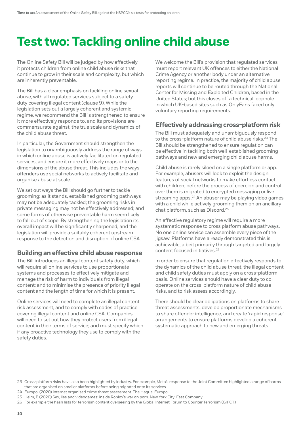# <span id="page-9-0"></span>**Test two: Tackling online child abuse**

The Online Safety Bill will be judged by how effectively it protects children from online child abuse risks that continue to grow in their scale and complexity, but which are inherently preventable.

The Bill has a clear emphasis on tackling online sexual abuse, with all regulated services subject to a safety duty covering illegal content (clause 9). While the legislation sets out a largely coherent and systemic regime, we recommend the Bill is strengthened to ensure it more effectively responds to, and its provisions are commensurate against, the true scale and dynamics of the child abuse threat.

In particular, the Government should strengthen the legislation to unambiguously address the range of ways in which online abuse is actively facilitated on regulated services, and ensure it more effectively maps onto the dimensions of the abuse threat. This includes the ways offenders use social networks to actively facilitate and organise abuse at scale.

We set out ways the Bill should go further to tackle grooming: as it stands, established grooming pathways may not be adequately tackled; the grooming risks in private messaging may not be effectively addressed; and some forms of otherwise preventable harm seem likely to fall out of scope. By strengthening the legislation its overall impact will be significantly sharpened, and the legislation will provide a suitably coherent upstream response to the detection and disruption of online CSA.

# **Building an effective child abuse response**

The Bill introduces an illegal content safety duty, which will require all online services to use proportionate systems and processes to effectively mitigate and manage the risk of harm to individuals from illegal content; and to minimise the presence of priority illegal content and the length of time for which it is present.

Online services will need to complete an illegal content risk assessment, and to comply with codes of practice covering illegal content and online CSA. Companies will need to set out how they protect users from illegal content in their terms of service; and must specify which if any proactive technology they use to comply with the safety duties.

We welcome the Bill's provision that regulated services must report relevant UK offences to either the National Crime Agency or another body under an alternative reporting regime. In practice, the majority of child abuse reports will continue to be routed through the National Center for Missing and Exploited Children, based in the United States; but this closes off a technical loophole in which UK-based sites such as OnlyFans faced only voluntary reporting requirements.

# **Effectively addressing cross-platform risk**

The Bill must adequately and unambiguously respond to the cross-platform nature of child abuse risks.<sup>23</sup> The Bill should be strengthened to ensure regulation can be effective in tackling both well-established grooming pathways and new and emerging child abuse harms.

Child abuse is rarely siloed on a single platform or app. For example, abusers will look to exploit the design features of social networks to make effortless contact with children, before the process of coercion and control over them is migrated to encrypted messaging or live streaming apps.<sup>24</sup> An abuser may be playing video games with a child while actively grooming them on an ancillary chat platform, such as Discord.25

An effective regulatory regime will require a more systematic response to cross platform abuse pathways. No one online service can assemble every piece of the jigsaw. Platforms have already demonstrated this is achievable, albeit primarily through targeted and largely content focused initiatives.26

In order to ensure that regulation effectively responds to the dynamics of the child abuse threat, the illegal content and child safety duties must apply on a cross-platform basis. Online services should have a clear duty to cooperate on the cross-platform nature of child abuse risks, and to risk assess accordingly.

There should be clear obligations on platforms to share threat assessments, develop proportionate mechanisms to share offender intelligence, and create 'rapid response' arrangements to ensure platforms develop a coherent systematic approach to new and emerging threats.

<sup>23</sup> Cross-platform risks have also been highlighted by industry. For example, Meta's response to the Joint Committee highlighted a range of harms that are organised on smaller platforms before being migrated onto its services

<sup>24</sup> Europol (2020) Internet organised crime threat assessment. The Hague: Europol.

<sup>25</sup> Helm, B (2020) Sex, lies and videogames: inside Roblox's war on porn. New York City: Fast Company

<sup>26</sup> For example the hash lists for terrorism content overseeing by the Global Internet Forum to Counter Terrorism (GIFCT)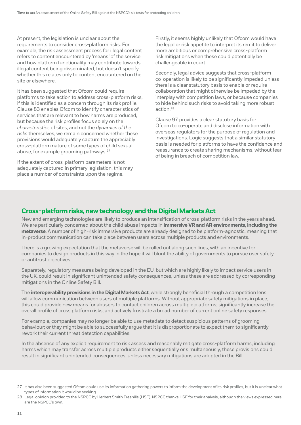At present, the legislation is unclear about the requirements to consider cross-platform risks. For example, the risk assessment process for illegal content refers to content encountered by 'means' of the service, and how platform functionality may contribute towards illegal content being disseminated, but doesn't specify whether this relates only to content encountered on the site or elsewhere.

It has been suggested that Ofcom could require platforms to take action to address cross-platform risks, if this is identified as a concern through its risk profile. Clause 83 enables Ofcom to identify characteristics of services that are relevant to how harms are produced, but because the risk profiles focus solely on the *characteristics* of sites, and not the *dynamics of the risks* themselves, we remain concerned whether these provisions would adequately capture the appreciably cross-platform nature of some types of child sexual abuse, for example grooming pathways.<sup>27</sup>

If the extent of cross-platform parameters is not adequately captured in primary legislation, this may place a number of constraints upon the regime.

Firstly, it seems highly unlikely that Ofcom would have the legal or risk appetite to interpret its remit to deliver more ambitious or comprehensive cross-platform risk mitigations when these could potentially be challengeable in court.

Secondly, legal advice suggests that cross-platform co-operation is likely to be significantly impeded unless there is a clear statutory basis to enable or require collaboration that might otherwise be impeded by the interplay with competition laws, or because companies to hide behind such risks to avoid taking more robust action<sup>28</sup>

Clause 97 provides a clear statutory basis for Ofcom to co-operate and disclose information with overseas regulators for the purpose of regulation and investigations. Logic suggests that a similar statutory basis is needed for platforms to have the confidence and reassurance to create sharing mechanisms, without fear of being in breach of competition law.

### **Cross-platform risks, new technology and the Digital Markets Act**

New and emerging technologies are likely to produce an intensification of cross-platform risks in the years ahead. We are particularly concerned about the child abuse impacts in **immersive VR and AR environments, including the metaverse**. A number of high-risk immersive products are already designed to be platform-agnostic, meaning that in-product communication can take place between users across multiple products and environments.

There is a growing expectation that the metaverse will be rolled out along such lines, with an incentive for companies to design products in this way in the hope it will blunt the ability of governments to pursue user safety or antitrust objectives.

Separately, regulatory measures being developed in the EU, but which are highly likely to impact service users in the UK, could result in significant unintended safety consequences, unless these are addressed by corresponding mitigations in the Online Safety Bill.

The **interoperability provisions in the Digital Markets Act**, while strongly beneficial through a competition lens, will allow communication between users of multiple platforms. Without appropriate safety mitigations in place, this could provide new means for abusers to contact children across multiple platforms; significantly increase the overall profile of cross platform risks; and actively frustrate a broad number of current online safety responses.

For example, companies may no longer be able to use metadata to detect suspicious patterns of grooming behaviour; or they might be able to successfully argue that it is disproportionate to expect them to significantly rework their current threat detection capabilities.

In the absence of any explicit requirement to risk assess and reasonably mitigate cross-platform harms, including harms which may transfer across multiple products either sequentially or simultaneously, these provisions could result in significant unintended consequences, unless necessary mitigations are adopted in the Bill.

<sup>27</sup> It has also been suggested Ofcom could use its information gathering powers to inform the development of its risk profiles, but it is unclear what types of information it would be seeking

<sup>28</sup> Legal opinion provided to the NSPCC by Herbert Smith Freehills (HSF). NSPCC thanks HSF for their analysis, although the views expressed here are the NSPCC's own.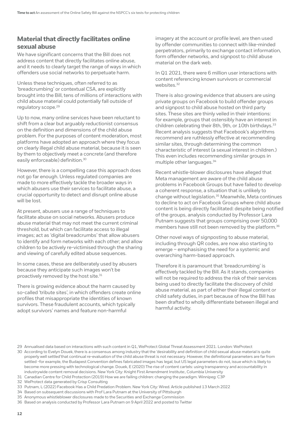### **Material that directly facilitates online sexual abuse**

We have significant concerns that the Bill does not address content that directly facilitates online abuse, and it needs to clearly target the range of ways in which offenders use social networks to perpetuate harm.

Unless these techniques, often referred to as 'breadcrumbing' or contextual CSA, are explicitly brought into the Bill, tens of millions of interactions with child abuse material could potentially fall outside of regulatory scope.29

Up to now, many online services have been reluctant to shift from a clear but arguably reductionist consensus on the definition and dimensions of the child abuse problem. For the purposes of content moderation, most platforms have adopted an approach where they focus on clearly illegal child abuse material, because it is seen by them to objectively meet a concrete (and therefore easily enforceable) definition.30

However, there is a compelling case this approach does not go far enough. Unless regulated companies are made to more effectively tackle the broader ways in which abusers use their services to facilitate abuse, a crucial opportunity to detect and disrupt online abuse will be lost.

At present, abusers use a range of techniques to facilitate abuse on social networks. Abusers produce abuse material that may not meet the current criminal threshold, but which can facilitate access to illegal images; act as 'digital breadcrumbs' that allow abusers to identify and form networks with each other; and allow children to be actively re-victimised through the sharing and viewing of carefully edited abuse sequences.

In some cases, these are deliberately used by abusers because they anticipate such images won't be proactively removed by the host site.<sup>31</sup>

There is growing evidence about the harm caused by so-called 'tribute sites', in which offenders create online profiles that misappropriate the identities of known survivors. These fraudulent accounts, which typically adopt survivors' names and feature non-harmful

imagery at the account or profile level, are then used by offender communities to connect with like-minded perpetrators, primarily to exchange contact information, form offender networks, and signpost to child abuse material on the dark web.

In Q1 2021, there were 6 million user interactions with content referencing known survivors or commercial websites.32

There is also growing evidence that abusers are using private groups on Facebook to build offender groups and signpost to child abuse hosted on third party sites. These sites are thinly veiled in their intentions: for example, groups that ostensibly have an interest in children celebrating their 8th, 9th, or 10th birthdays.<sup>33</sup> Recent analysis suggests that Facebook's algorithms recommend are ruthlessly effective at recommending similar sites, through determining the common characteristic of interest (a sexual interest in children.) This even includes recommending similar groups in multiple other languages.34

Recent whistle-blower disclosures have alleged that Meta management are aware of the child abuse problems in Facebook Groups but have failed to develop a coherent response, a situation that is unlikely to change without legislation.35 Meanwhile, Meta continues to decline to act on Facebook Groups where child abuse content is being directly facilitated: despite being notified of the groups, analysis conducted by Professor Lara Putnam suggests that groups comprising over 50,000 members have still not been removed by the platform.<sup>36</sup>

Other novel ways of signposting to abuse material, including through QR codes, are now also starting to emerge – emphasising the need for a systemic and overarching harm-based approach.

Therefore it is paramount that 'breadcrumbing' is effectively tackled by the Bill. As it stands, companies will not be required to address the risk of their services being used to directly facilitate the discovery of child abuse material, as part of either their illegal content or child safety duties, in part because of how the Bill has been drafted to wholly differentiate between illegal and harmful activity.

32 WeProtect data generated by Crisp Consulting

34 Based on subsequent discussions with Prof Lara Putnam at the University of Pittsburgh

36 Based on analysis conducted by Professor Lara Putnam on 9 April 2022 and posted to Twitter

<sup>29</sup> Annualised data based on interactions with such content in Q1, WeProtect Global Threat Assessment 2021. London: WeProtect

<sup>30</sup> According to Evelyn Douek, there is a consensus among industry that the 'desirability and definition of child sexual abuse material is quite properly well settled'that continual re-evaluation of the child abuse threat is not necessary. However, the definitional parameters are far from settled -for example, the Budapest Convention defines fabricated images has legal, but US legal parameters do not, issue which is likely to become more pressing with technological change. Douek, E (2020) The rise of content cartels: using transparency and accountability in industrywide content removal decisions. New York City: Knight First Amendment Institute:, Columbia University

<sup>31</sup> Canadian Centre for Child Protection (2019) How we are failing children: changing the paradigm. Winnipeg: C3P

<sup>33</sup> Putnam, L (2022) Facebook Has a Child Predation Problem. New York City: Wired. Article published 13 March 2022

<sup>35</sup> Anonymous whistleblower disclosures made to the Securities and Exchange Commission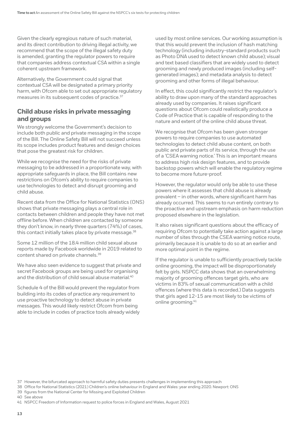Given the clearly egregious nature of such material, and its direct contribution to driving illegal activity, we recommend that the scope of the illegal safety duty is amended, granting the regulator powers to require that companies address contextual CSA within a single coherent upstream framework.

Alternatively, the Government could signal that contextual CSA will be designated a primary priority harm, with Ofcom able to set out appropriate regulatory measures in its subsequent codes of practice.<sup>37</sup>

#### **Child abuse risks in private messaging and groups**

We strongly welcome the Government's decision to include both public and private messaging in the scope of the Bill. The Online Safety Bill will not succeed unless its scope includes product features and design choices that pose the greatest risk for children.

While we recognise the need for the risks of private messaging to be addressed in a proportionate way, with appropriate safeguards in place, the Bill contains new restrictions on Ofcom's ability to require companies to use technologies to detect and disrupt grooming and child abuse.

Recent data from the Office for National Statistics (ONS) shows that private messaging plays a central role in contacts between children and people they have not met offline before. When children are contacted by someone they don't know, in nearly three quarters (74%) of cases, this contact initially takes place by private message.<sup>38</sup>

Some 12 million of the 18.4 million child sexual abuse reports made by Facebook worldwide in 2019 related to content shared on private channels.39

We have also seen evidence to suggest that private and secret Facebook groups are being used for organising and the distribution of child sexual abuse material.<sup>40</sup>

Schedule 4 of the Bill would prevent the regulator from building into its codes of practice *any* requirement to use proactive technology to detect abuse in private messages. This would likely restrict Ofcom from being able to include in codes of practice tools already widely used by most online services. Our working assumption is that this would prevent the inclusion of hash matching technology (including industry-standard products such as Photo DNA used to detect known child abuse); visual and text based classifiers that are widely used to detect grooming and newly produced images (including selfgenerated images); and metadata analysis to detect grooming and other forms of illegal behaviour.

In effect, this could significantly restrict the regulator's ability to draw upon many of the standard approaches already used by companies. It raises significant questions about Ofcom could realistically produce a Code of Practice that is capable of responding to the nature and extent of the online child abuse threat.

We recognise that Ofcom has been given stronger powers to require companies to use automated technologies to detect child abuse content, on both public and private parts of its service, through the use of a 'CSEA warning notice.' This is an important means to address high risk design features, and to provide backstop powers which will enable the regulatory regime to become more future-proof.

However, the regulator would only be able to use these powers where it assesses that child abuse is already prevalent – in other words, where significant harm has already occurred. This seems to run entirely contrary to the proactive and upstream emphasis on harm reduction proposed elsewhere in the legislation.

It also raises significant questions about the efficacy of requiring Ofcom to potentially take action against a large number of sites through the CSEA warning notice route, primarily because it is unable to do so at an earlier and more optimal point in the regime.

If the regulator is unable to sufficiently proactively tackle online grooming, the impact will be disproportionately felt by girls. NSPCC data shows that an overwhelming majority of grooming offences target girls, who are victims in 83% of sexual communication with a child offences (where this data is recorded.) Data suggests that girls aged 12-15 are most likely to be victims of online grooming.41

40 See above

<sup>37</sup> However, the bifurcated approach to harmful safety duties presents challenges in implementing this approach

<sup>38</sup> Office for National Statistics (2021) Children's online behaviour in England and Wales: year ending 2020. Newport: ONS

<sup>39</sup> figures from the National Center for Missing and Exploited Children

<sup>41</sup> NSPCC Freedom of Information request to police forces in England and Wales, August 2021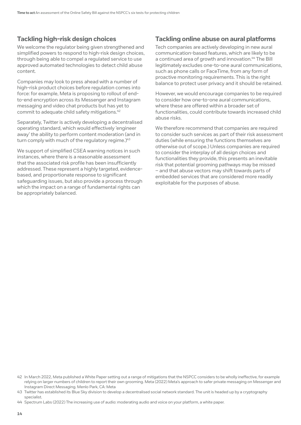### **Tackling high-risk design choices**

We welcome the regulator being given strengthened and simplified powers to respond to high-risk design choices, through being able to compel a regulated service to use approved automated technologies to detect child abuse content.

Companies may look to press ahead with a number of high-risk product choices before regulation comes into force: for example, Meta is proposing to rollout of endto-end encryption across its Messenger and Instagram messaging and video chat products but has yet to commit to adequate child safety mitigations.42

Separately, Twitter is actively developing a decentralised operating standard, which would effectively 'engineer away' the ability to perform content moderation (and in turn comply with much of the regulatory regime. $)^{43}$ 

We support of simplified CSEA warning notices in such instances, where there is a reasonable assessment that the associated risk profile has been insufficiently addressed. These represent a highly targeted, evidencebased, and proportionate response to significant safeguarding issues, but also provide a process through which the impact on a range of fundamental rights can be appropriately balanced.

#### **Tackling online abuse on aural platforms**

Tech companies are actively developing in new aural communication-based features, which are likely to be a continued area of growth and innovation.<sup>44</sup> The Bill legitimately excludes one-to-one aural communications, such as phone calls or FaceTime, from any form of proactive monitoring requirements. This is the right balance to protect user privacy and it should be retained.

However, we would encourage companies to be required to consider how one-to-one aural communications, where these are offered within a broader set of functionalities, could contribute towards increased child abuse risks.

We therefore recommend that companies are required to consider such services as part of their risk assessment duties (while ensuring the functions themselves are otherwise out of scope.) Unless companies are required to consider the interplay of all design choices and functionalities they provide, this presents an inevitable risk that potential grooming pathways may be missed – and that abuse vectors may shift towards parts of embedded services that are considered more readily exploitable for the purposes of abuse.

<sup>42</sup> In March 2022, Meta published a White Paper setting out a range of mitigations that the NSPCC considers to be wholly ineffective, for example relying on larger numbers of children to report their own grooming. Meta (2022) Meta's approach to safer private messaging on Messenger and Instagram Direct Messaging. Menlo Park, CA: Meta

<sup>43</sup> Twitter has established its Blue Sky division to develop a decentralised social network standard. The unit is headed up by a cryptography specialist.

<sup>44</sup> Spectrum Labs (2022) The increasing use of audio: moderating audio and voice on your platform, a white paper.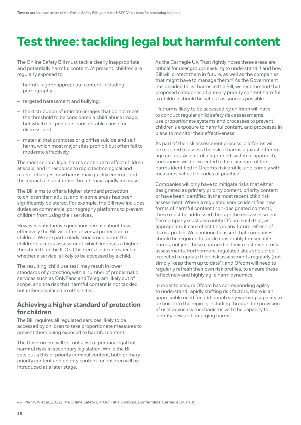# <span id="page-14-0"></span>**Test three: tackling legal but harmful content**

The Online Safety Bill must tackle clearly inappropriate and potentially harmful content. At present, children are regularly exposed to

- harmful age-inappropriate content, including pornography;
- targeted harassment and bullying;
- the distribution of intimate images that do not meet the threshold to be considered a child abuse image, but which still presents considerable cause for distress; and
- material that promotes or glorifies suicide and selfharm, which most major sites prohibit but often fail to moderate effectively.

The most serious legal harms continue to affect children at scale, and in response to rapid technological and market changes, new harms may quickly emerge, and the impact of substantive threats may rapidly increase.

The Bill aims to offer a higher standard protection to children than adults, and in some areas has been significantly bolstered. For example, the Bill now includes duties on commercial pornography platforms to prevent children from using their services.

However, substantive questions remain about how effectively the Bill will offer universal protection to children. We are particularly concerned about the children's access assessment, which imposes a higher threshold than the ICO's Children's Code in respect of whether a service is likely to be accessed by a child.

The resulting 'child use test' may result in lower standards of protection, with a number of problematic services such as OnlyFans and Telegram likely out of scope, and the risk that harmful content is not tackled but rather displaced to other sites.

### **Achieving a higher standard of protection for children**

The Bill requires all regulated services likely to be accessed by children to take proportionate measures to prevent them being exposed to harmful content.

The Government will set out a list of primary legal but harmful risks in secondary legislation. While the Bill sets out a this of priority criminal content, both primary priority content and priority content for children will be introduced at a later stage.

As the Carnegie UK Trust rightly notes these areas are critical for user groups seeking to understand if and how Bill will protect them in future, as well as the companies that might have to manage them.<sup>45</sup> As the Government has decided to list harms in the Bill, we recommend that proposed categories of primary priority content harmful to children should be set out as soon as possible.

Platforms likely to be accessed by children will have to conduct regular child safety risk assessments, use proportionate systems and processes to prevent children's exposure to harmful content, and processes in place to monitor their effectiveness.

As part of the risk assessment process, platforms will be required to assess the risk of harms against different age groups. As part of a tightened systemic approach, companies will be expected to take account of the harms identified in Ofcom's risk profile, and comply with measures set out in codes of practice.

Companies will only have to mitigate risks that either designated as primary priority content, priority content or have been identified in the most recent child risk assessment. Where a regulated service identifies new forms of harmful content (non-designated content), these must be addressed through the risk assessment. The company must also notify Ofcom such that, as appropriate, it can reflect this in any future refresh of its risk profile. We continue to assert that companies should be required to tackle reasonably foreseeable harms, not just those captured in their most recent risk assessments. Furthermore, regulated sites should be expected to update their risk assessments regularly (not simply 'keep them up to date'); and Ofcom will need to regularly refresh their own risk profiles, to ensure these reflect new and highly agile harm dynamics.

In order to ensure Ofcom has corresponding agility to understand rapidly shifting risk factors, there is an appreciable need for additional early warning capacity to be built into the regime, including through the provision of user advocacy mechanisms with the capacity to identify new and emerging harms.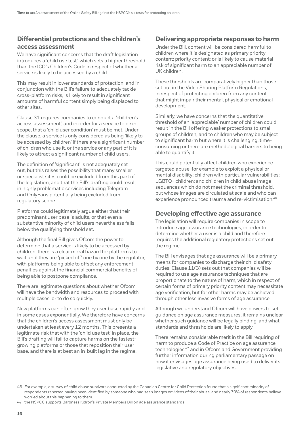# **Differential protections and the children's access assessment**

We have significant concerns that the draft legislation introduces a 'child use test', which sets a higher threshold than the ICO's Children's Code in respect of whether a service is likely to be accessed by a child.

This may result in lower standards of protection, and in conjunction with the Bill's failure to adequately tackle cross-platform risks, is likely to result in significant amounts of harmful content simply being displaced to other sites.

Clause 31 requires companies to conduct a 'children's access assessment', and in order for a service to be in scope, that a 'child user condition' must be met. Under the clause, a service is only considered as being 'likely to be accessed by children' if there are a significant number of children who use it, or the service or any part of it is likely to attract a significant number of child users.

The definition of 'significant' is not adequately set out, but this raises the possibility that many smaller or specialist sites could be excluded from this part of the legislation, and that the Bill's drafting could result in highly problematic services including Telegram and OnlyFans potentially being excluded from regulatory scope.

Platforms could legitimately argue either that their predominant user base is adults, or that even a substantive minority of child users nevertheless falls below the qualifying threshold set.

Although the final Bill gives Ofcom the power to determine that a service is likely to be accessed by children, there is a clear moral hazard for platforms to wait until they are 'picked off' one by one by the regulator, with platforms being able to offset any enforcement penalties against the financial commercial benefits of being able to postpone compliance.

There are legitimate questions about whether Ofcom will have the bandwidth and resources to proceed with multiple cases, or to do so quickly.

New platforms can often grow they user base rapidly and in some cases exponentially. We therefore have concerns that the children's access assessment must only be undertaken at least every 12 months. This presents a legitimate risk that with the 'child use test' in place, the Bill's drafting will fail to capture harms on the fastestgrowing platforms or those that reposition their user base, and there is at best an in-built lag in the regime.

### **Delivering appropriate responses to harm**

Under the Bill, content will be considered harmful to children where it is designated as primary priority content; priority content; or is likely to cause material risk of significant harm to an appreciable number of UK children.

These thresholds are comparatively higher than those set out in the Video Sharing Platform Regulations, in respect of protecting children from any content that might impair their mental, physical or emotional development.

Similarly, we have concerns that the quantitative threshold of an 'appreciable' number of children could result in the Bill offering weaker protections to small groups of children, and to children who may be subject to significant harm but where it is challenging, timeconsuming or there are methodological barriers to being able to quantify it.

This could potentially affect children who experience targeted abuse, for example to exploit a physical or mental disability; children with particular vulnerabilities; LGBTQ+ children; and children in child abuse image sequences which do not meet the criminal threshold, but whose images are circulated at scale and who can experience pronounced trauma and re-victimisation.<sup>46</sup>

### **Developing effective age assurance**

The legislation will require companies in scope to introduce age assurance technologies, in order to determine whether a user is a child and therefore requires the additional regulatory protections set out the regime.

The Bill envisages that age assurance will be a primary means for companies to discharge their child safety duties. Clause 11(3) sets out that companies will be required to use age assurance techniques that are proportionate to the nature of harm, which in respect of certain forms of primary priority content may necessitate age verification, but for other harms may be achieved through other less invasive forms of age assurance.

Although we understand Ofcom will have powers to set guidance on age assurance measures, it remains unclear whether such guidance will be legally binding, and what standards and thresholds are likely to apply.

There remains considerable merit in the Bill requiring of harm to produce a Code of Practice on age assurance technologies,<sup>47</sup> and in Ofcom and Government providing further information during parliamentary passage on how it envisages age assurance being used to deliver its legislative and regulatory objectives.

47 the NSPCC supports Baroness Kidron's Private Members Bill on age assurance standards

<sup>46</sup> For example, a survey of child abuse survivors conducted by the Canadian Centre for Child Protection found that a significant minority of respondents reported having been identified by someone who had seen images or videos of their abuse, and nearly 70% of respondents believe worried about this happening to them.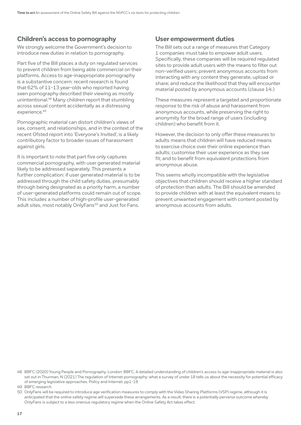# **Children's access to pornography**

We strongly welcome the Government's decision to introduce new duties in relation to pornography.

Part five of the Bill places a duty on regulated services to prevent children from being able commercial on their platforms. Access to age-inappropriate pornography is a substantive concern: recent research is found that 62% of 11-13 year-olds who reported having seen pornography described their viewing as mostly unintentional.48 Many children report that stumbling across sexual content accidentally as a distressing experience.<sup>49</sup>

Pornographic material can distort children's views of sex, consent, and relationships, and in the context of the recent Ofsted report into 'Everyone's Invited', is a likely contributory factor to broader issues of harassment against girls.

It is important to note that part five only captures commercial pornography, with user generated material likely to be addressed separately. This presents a further complication: if user generated material is to be addressed through the child safety duties, presumably through being designated as a priority harm, a number of user-generated platforms could remain out of scope. This includes a number of high-profile user-generated adult sites, most notably OnlyFans<sup>50</sup> and Just for Fans.

#### **User empowerment duties**

The Bill sets out a range of measures that Category 1 companies must take to empower adult users. Specifically, these companies will be required regulated sites to provide adult users with the means to filter out non-verified users; prevent anonymous accounts from interacting with any content they generate, upload or share; and reduce the likelihood that they will encounter material posted by anonymous accounts (clause 14.)

These measures represent a targeted and proportionate response to the risk of abuse and harassment from anonymous accounts, while preserving the right to anonymity for the broad range of users (including children) who benefit from it.

However, the decision to only offer these measures to adults means that children will have reduced means to exercise choice over their online experience than adults; customise their user experience as they see fit; and to benefit from equivalent protections from anonymous abuse.

This seems wholly incompatible with the legislative objectives that children should receive a higher standard of protection than adults. The Bill should be amended to provide children with at least the equivalent means to prevent unwanted engagement with content posted by anonymous accounts from adults.

50 OnlyFans will be required to introduce age verification measures to comply with the Video Sharing Platforms (VSP) regime, although it is anticipated that the online safety regime will supersede these arrangements. As a result, there is a potentially perverse outcome whereby OnlyFans is subject to a less onerous regulatory regime when the Online Safety Act takes effect.

<sup>48</sup> BBFC (2020) Young People and Pornography. London: BBFC. A detailed understanding of children's access to age-inappropriate material is also set out in Thurman, N (2021) The regulation of Internet pornography: what a survey of under 18 tells us about the necessity for potential efficacy of emerging legislative approaches. Policy and Internet, pp1-18

<sup>49</sup> BBFC research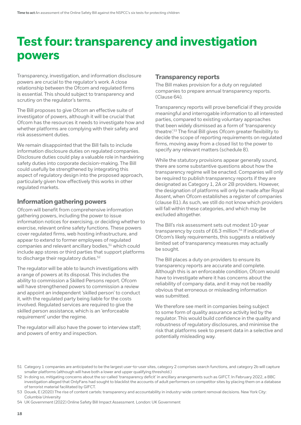# <span id="page-17-0"></span>**Test four: transparency and investigation powers**

Transparency, investigation, and information disclosure powers are crucial to the regulator's work. A close relationship between the Ofcom and regulated firms is essential. This should subject to transparency and scrutiny on the regulator's terms.

The Bill proposes to give Ofcom an effective suite of investigator of powers, although it will be crucial that Ofcom has the resources it needs to investigate how and whether platforms are complying with their safety and risk assessment duties.

We remain disappointed that the Bill fails to include information disclosure duties on regulated companies. Disclosure duties could play a valuable role in hardwiring safety duties into corporate decision-making. The Bill could usefully be strengthened by integrating this aspect of regulatory design into the proposed approach, particularly given how effectively this works in other regulated markets.

#### **Information gathering powers**

Ofcom will benefit from comprehensive information gathering powers, including the power to issue information notices for exercising, or deciding whether to exercise, relevant online safety functions. These powers cover regulated firms, web hosting infrastructure, and appear to extend to former employees of regulated companies and relevant ancillary bodies,<sup>51</sup> which could include app stores or third parties that support platforms to discharge their regulatory duties.<sup>52</sup>

The regulator will be able to launch investigations with a range of powers at its disposal. This includes the ability to commission a Skilled Persons report. Ofcom will have strengthened powers to commission a review and appoint an independent 'skilled person' to conduct it, with the regulated party being liable for the costs involved. Regulated services are required to give the skilled person assistance, which is an 'enforceable requirement' under the regime.

The regulator will also have the power to interview staff; and powers of entry and inspection.

### **Transparency reports**

The Bill makes provision for a duty on regulated companies to prepare annual transparency reports. (Clause 64).

Transparency reports will prove beneficial if they provide meaningful and interrogable information to all interested parties, compared to existing voluntary approaches that been widely dismissed as a form of 'transparency theatre'.53 The final Bill gives Ofcom greater flexibility to decide the scope of reporting requirements on regulated firms, moving away from a closed list to the power to specify any relevant matters (schedule 8).

While the statutory provisions appear generally sound, there are some substantive questions about how the transparency regime will be enacted. Companies will only be required to publish transparency reports if they are designated as Category 1, 2A or 2B providers. However, the designation of platforms will only be made after Royal Assent, when Ofcom establishes a register of companies (clause 81). As such, we still do not know which providers will fall within these categories, and which may be excluded altogether.

The Bill's risk assessment sets out modest 10-year transparency by costs of £6.3 million.<sup>54</sup> If indicative of Ofcom's likely requirements, this suggests a relatively limited set of transparency measures may actually be sought.

The Bill places a duty on providers to ensure its transparency reports are accurate and complete. Although this is an enforceable condition, Ofcom would have to investigate where it has concerns about the reliability of company data, and it may not be readily obvious that erroneous or misleading information was submitted.

We therefore see merit in companies being subject to some form of quality assurance activity led by the regulator. This would build confidence in the quality and robustness of regulatory disclosures, and minimise the risk that platforms seek to present data in a selective and potentially misleading way.

54 UK Government (2022) Online Safety Bill Impact Assessment. London: UK Government

<sup>51</sup> Category 1 companies are anticipated to be the largest user-to-user sites, category 2 comprises search functions, and category 2b will capture smaller platforms (although will have both a lower and upper qualifying threshold.)

<sup>52</sup> In doing so, mitigating concerns about the so-called 'transparency deficit' in ancillary arrangements such as GIFCT. In February 2022, a BBC investigation alleged that OnlyFans had sought to blacklist the accounts of adult performers on competitor sites by placing them on a database of terrorist material facilitated by GIFCT.

<sup>53</sup> Douek, E (2020) The rise of content cartels: transparency and accountability in industry-wide content removal decisions. New York City: Columbia University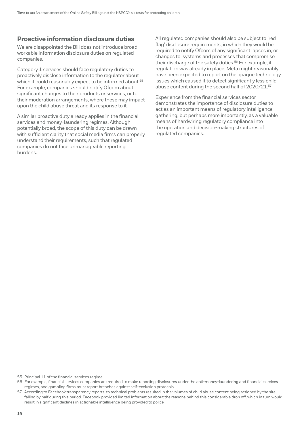#### **Proactive information disclosure duties**

We are disappointed the Bill does not introduce broad workable information disclosure duties on regulated companies.

Category 1 services should face regulatory duties to proactively disclose information to the regulator about which it could reasonably expect to be informed about.<sup>55</sup> For example, companies should notify Ofcom about significant changes to their products or services, or to their moderation arrangements, where these may impact upon the child abuse threat and its response to it.

A similar proactive duty already applies in the financial services and money-laundering regimes. Although potentially broad, the scope of this duty can be drawn with sufficient clarity that social media firms can properly understand their requirements, such that regulated companies do not face unmanageable reporting burdens.

All regulated companies should also be subject to 'red flag' disclosure requirements, in which they would be required to notify Ofcom of any significant lapses in, or changes to, systems and processes that compromise their discharge of the safety duties.<sup>56</sup> For example, if regulation was already in place, Meta might reasonably have been expected to report on the opaque technology issues which caused it to detect significantly less child abuse content during the second half of 2020/21.57

Experience from the financial services sector demonstrates the importance of disclosure duties to act as an important means of regulatory intelligence gathering; but perhaps more importantly, as a valuable means of hardwiring regulatory compliance into the operation and decision-making structures of regulated companies.

55 Principal 11 of the financial services regime

<sup>56</sup> For example, financial services companies are required to make reporting disclosures under the anti-money-laundering and financial services regimes, and gambling firms must report breaches against self-exclusion protocols

<sup>57</sup> According to Facebook transparency reports, to technical problems resulted in the volumes of child abuse content being actioned by the site falling by half during this period. Facebook provided limited information about the reasons behind this considerable drop off, which in turn would result in significant declines in actionable intelligence being provided to police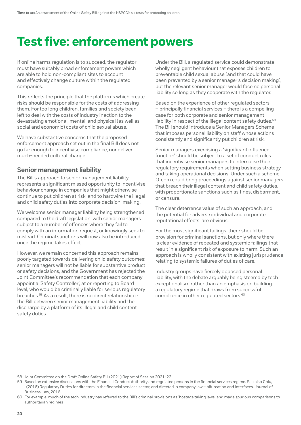# <span id="page-19-0"></span>**Test five: enforcement powers**

If online harms regulation is to succeed, the regulator must have suitably broad enforcement powers which are able to hold non-compliant sites to account and effectively change culture within the regulated companies.

This reflects the principle that the platforms which create risks should be responsible for the costs of addressing them. For too long children, families and society been left to deal with the costs of industry inaction to the devastating emotional, mental, and physical (as well as social and economic) costs of child sexual abuse.

We have substantive concerns that the proposed enforcement approach set out in the final Bill does not go far enough to incentivise compliance, nor deliver much-needed cultural change.

#### **Senior management liability**

The Bill's approach to senior management liability represents a significant missed opportunity to incentivise behaviour change in companies that might otherwise continue to put children at risk, and to hardwire the illegal and child safety duties into corporate decision-making.

We welcome senior manager liability being strengthened compared to the draft legislation, with senior managers subject to a number of offences where they fail to comply with an information request, or knowingly seek to mislead. Criminal sanctions will now also be introduced once the regime takes effect.

However, we remain concerned this approach remains poorly targeted towards delivering child safety outcomes: senior managers will not be liable for substantive product or safety decisions, and the Government has rejected the Joint Committee's recommendation that each company appoint a 'Safety Controller', at or reporting to Board level, who would be criminally liable for serious regulatory breaches.58 As a result, there is no direct relationship in the Bill between senior management liability and the discharge by a platform of its illegal and child content safety duties.

Under the Bill, a regulated service could demonstrate wholly negligent behaviour that exposes children to preventable child sexual abuse (and that could have been prevented by a senior manager's decision making), but the relevant senior manager would face no personal liability so long as they cooperate with the regulator.

Based on the experience of other regulated sectors – principally financial services – there is a compelling case for both corporate and senior management liability in respect of the illegal content safety duties.<sup>59</sup> The Bill should introduce a Senior Managers Scheme that imposes personal liability on staff whose actions consistently and significantly put children at risk.

Senior managers exercising a 'significant influence function' should be subject to a set of conduct rules that incentivise senior managers to internalise their regulatory requirements when setting business strategy and taking operational decisions. Under such a scheme, Ofcom could bring proceedings against senior managers that breach their illegal content and child safety duties, with proportionate sanctions such as fines, disbarment, or censure.

The clear deterrence value of such an approach, and the potential for adverse individual and corporate reputational effects, are obvious.

For the most significant failings, there should be provision for criminal sanctions, but only where there is clear evidence of repeated and systemic failings that result in a significant risk of exposure to harm. Such an approach is wholly consistent with existing jurisprudence relating to systemic failures of duties of care.

Industry groups have fiercely opposed personal liability, with the debate arguably being steered by tech exceptionalism rather than an emphasis on building a regulatory regime that draws from successful compliance in other regulated sectors.<sup>60</sup>

<sup>58</sup> Joint Committee on the Draft Online Safety Bill (2021) Report of Session 2021-22

<sup>59</sup> Based on extensive discussions with the Financial Conduct Authority and regulated persons in the financial services regime. See also Chiu, I (2016) Regulatory Duties for directors in the financial services sector, and directed in company law – bifurcation and interfaces. Journal of Business Law, 2016

<sup>60</sup> For example, much of the tech industry has referred to the Bill's criminal provisions as 'hostage taking laws' and made spurious comparisons to authoritarian regimes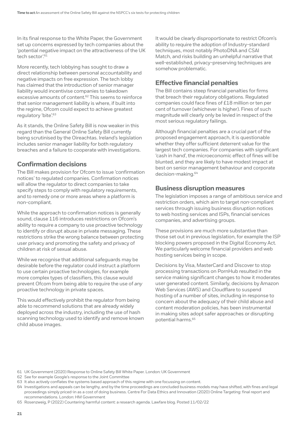In its final response to the White Paper, the Government set up concerns expressed by tech companies about the 'potential negative impact on the attractiveness of the UK tech sector<sup>'61</sup>

More recently, tech lobbying has sought to draw a direct relationship between personal accountability and negative impacts on free expression. The tech lobby has claimed that the introduction of senior manager liability would incentivise companies to takedown excessive amounts of content.<sup>62</sup> This seems to reinforce that senior management liability is where, if built into the regime, Ofcom could expect to achieve greatest regulatory 'bite'.<sup>63</sup>

As it stands, the Online Safety Bill is now weaker in this regard than the General Online Safety Bill currently being scrutinised by the Oireachtas. Ireland's legislation includes senior manager liability for both regulatory breaches and a failure to cooperate with investigations.

### **Confirmation decisions**

The Bill makes provision for Ofcom to issue 'confirmation notices' to regulated companies. Confirmation notices will allow the regulator to direct companies to take specify steps to comply with regulatory requirements, and to remedy one or more areas where a platform is non-compliant.

While the approach to confirmation notices is generally sound, clause 116 introduces restrictions on Ofcom's ability to require a company to use proactive technology to identify or disrupt abuse in private messaging. These restrictions strike the wrong balance between protecting user privacy and promoting the safety and privacy of children at risk of sexual abuse.

While we recognise that additional safeguards may be desirable before the regulator could instruct a platform to use certain proactive technologies, for example more complex types of classifiers, this clause would prevent Ofcom from being able to require the use of *any*  proactive technology in private spaces.

This would effectively prohibit the regulator from being able to recommend solutions that are already widely deployed across the industry, including the use of hash scanning technology used to identify and remove known child abuse images.

It would be clearly disproportionate to restrict Ofcom's ability to require the adoption of Industry-standard techniques, most notably PhotoDNA and CSAI Match, and risks building an unhelpful narrative that well-established, privacy-preserving techniques are somehow problematic.

# **Effective financial penalties**

The Bill contains steep financial penalties for firms that breach their regulatory obligations. Regulated companies could face fines of £18 million or ten per cent of turnover (whichever is higher). Fines of such magnitude will clearly only be levied in respect of the most serious regulatory failings.

Although financial penalties are a crucial part of the proposed engagement approach, it is questionable whether they offer sufficient deterrent value for the largest tech companies. For companies with significant 'cash in hand', the microeconomic effect of fines will be blunted, and they are likely to have modest impact at best on senior management behaviour and corporate decision-making.64

### **Business disruption measures**

The legislation imposes a range of ambitious service and restriction orders, which aim to target non-compliant services through issuing business disruption notices to web hosting services and ISPs, financial services companies, and advertising groups.

These provisions are much more substantive than those set out in previous legislation, for example the ISP blocking powers proposed in the Digital Economy Act. We particularly welcome financial providers and web hosting services being in scope.

Decisions by Visa, MasterCard and Discover to stop processing transactions on PornHub resulted in the service making significant changes to how it moderates user generated content. Similarly, decisions by Amazon Web Services (AWS) and Cloudflare to suspend hosting of a number of sites, including in response to concern about the adequacy of their child abuse and content moderation policies, has been instrumental in making sites adopt safer approaches or disrupting potential harms.65

<sup>61</sup> UK Government (2020) Response to Online Safety Bill White Paper. London: UK Government

<sup>62</sup> See for example Google's response to the Joint Committee

<sup>63</sup> It also actively conflates the systems based approach of this regime with one focussing on content.

<sup>64</sup> Investigations and appeals can be lengthy, and by the time proceedings are concluded business models may have shifted, with fines and legal proceedings simply priced-in as a cost of doing business. Centre For Data Ethics and Innovation (2020) Online Targeting: final report and recommendations. London: HM Government

<sup>65</sup> Rosenzweig, P (2022) Countering harmful content: a research agenda. Lawfare blog. Posted 11/02/22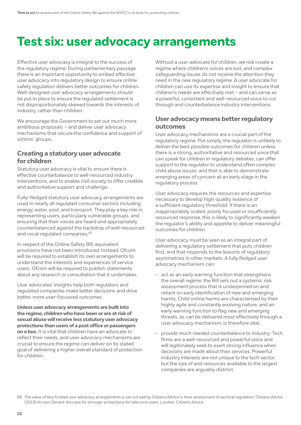# <span id="page-21-0"></span>**Test six: user advocacy arrangements**

Effective user advocacy is integral to the success of the regulatory regime. During parliamentary passage there is an important opportunity to embed effective user advocacy into regulatory design to ensure online safety regulation delivers better outcomes for children. Well-designed user advocacy arrangements should be put in place to ensure the regulated settlement is not disproportionately skewed towards the interests of industry, rather than children.

We encourage the Government to set out much more ambitious proposals – and deliver user advocacy mechanisms that secure the confidence and support of victims' groups.

### **Creating a statutory user advocate for children**

Statutory user advocacy is vital to ensure there is effective counterbalance to well-resourced industry interventions, and to enable civil society to offer credible and authoritative support and challenge.

Fully-fledged statutory user advocacy arrangements are used in nearly all regulated consumer sectors including energy, water, post, and transport. They play a key role in representing users, particularly vulnerable groups, and ensuring that their voices are heard and appropriately counterbalanced against the backdrop of well-resourced and vocal regulated companies.<sup>66</sup>

In respect of the Online Safety Bill, equivalent provisions have not been introduced. Instead, Ofcom will be required to establish its own arrangements to understand the interests and experiences of service users. Ofcom will be required to publish statements about any research or consultation that it undertakes.

User advocates' insights help both regulators and regulated companies make better decisions and drive better, more user-focussed outcomes.

**Unless user advocacy arrangements are built into the regime, children who have been or are at risk of sexual abuse will receive less statutory user advocacy protections than users of a post office or passengers on a bus.** It is vital that children have an advocate to reflect their needs, and user advocacy mechanisms are crucial to ensure the regime can deliver on its stated goal of delivering a higher overall standard of protection for children.

Without a user advocate for children, we risk create a regime where children's voices are lost, and complex safeguarding issues do not receive the attention they need in the new regulatory regime. A user advocate for children can use its expertise and insight to ensure that children's needs are effectively met – and can serve as a powerful, consistent and well-resourced voice to cut through and counterbalance industry interventions.

## **User advocacy means better regulatory outcomes**

User advocacy mechanisms are a crucial part of the regulatory regime. Put simply, the regulator is unlikely to deliver the best possible outcomes for children unless there is a strong, authoritative and resourced voice that can speak for children in regulatory debates; can offer support to the regulator to understand often complex child abuse issues; and that is able to demonstrate emerging areas of concern at an early stage in the regulatory process.

User advocacy requires the resources and expertise necessary to develop high-quality evidence of a sufficient regulatory threshold. If there is an inappropriately scaled, poorly focused or insufficiently resourced response, this is likely to significantly weaken the regulator's ability and appetite to deliver meaningful outcomes for children.

User advocacy must be seen as an integral part of delivering a regulatory settlement that puts children first, and that responds to the lessons of regulatory asymmetries in other markets. A fully fledged user advocacy mechanism can:

- act as an early warning function that strengthens the overall regime*:* the Bill sets out a systemic risk assessment process that is underpinned on and reliant on early identification of new and emerging harms. Child online harms are characterised by their highly agile and constantly evolving nature, and an early warning function to flag new and emerging threats, as can be delivered most effectively through a user advocacy mechanism, is therefore vital;
- *provide much needed counterbalance to industry*: Tech firms are a well-resourced and powerful voice and will legitimately seek to exert strong influence when decisions are made about their services. Powerful industry interests are not unique to the tech sector, but the size of and resources available to the largest companies are arguably distinct.

<sup>66</sup> The value of levy funded user advocacy arrangements is set out well by Citizens Advice in their assessment of sectoral regulators. Citizens Advice (2018) Access Denied: the case for stronger protections for telecoms users. London: Citizens Advice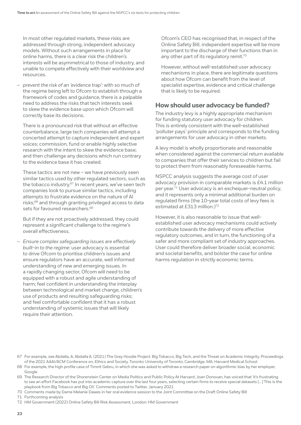In most other regulated markets, these risks are addressed through strong, independent advocacy models. Without such arrangements in place for online harms, there is a clear risk the children's interests will be asymmetrical to those of industry, and unable to compete effectively with their worldview and resources.

– *prevent the risk of an 'evidence trap':* with so much of the regime being left to Ofcom to establish through a framework of codes and guidance, there is a palpable need to address the risks that tech interests seek to skew the evidence base upon which Ofcom will correctly base its decisions.

There is a pronounced risk that without an effective counterbalance, large tech companies will attempt a concerted attempt to capture independent and expert voices; commission, fund or enable highly selective research with the intent to skew the evidence base; and then challenge any decisions which run contrary to the evidence base it has created.

These tactics are not new – we have previously seen similar tactics used by other regulated sectors, such as the tobacco industry.<sup>67</sup> In recent years, we've seen tech companies look to pursue similar tactics, including attempts to frustrate evidence on the nature of AI risks;68 and through granting privileged access to data sets for favoured researchers.<sup>69</sup>

But if they are not proactively addressed, they could represent a significant challenge to the regime's overall effectiveness.

– *Ensure complex safeguarding issues are effectively built-in to the regime*: user advocacy is essential to drive Ofcom to prioritise children's issues and ensure regulators have an accurate, well informed understanding of new and emerging issues. In a rapidly changing sector, Ofcom will need to be equipped with a robust and agile understanding of harm; feel confident in understanding the interplay between technological and market change, children's use of products and resulting safeguarding risks; and feel comfortable confident that it has a robust understanding of systemic issues that will likely require their attention.

Ofcom's CEO has recognised that, in respect of the Online Safety Bill, independent expertise will be more important to the discharge of their functions than in any other part of its regulatory remit.<sup>70</sup>

However, without well-established user advocacy mechanisms in place, there are legitimate questions about how Ofcom can benefit from the level of specialist expertise, evidence and critical challenge that is likely to be required.

### **How should user advocacy be funded?**

The industry levy is a highly appropriate mechanism for funding statutory user advocacy for children. This is entirely consistent with the well-established 'polluter pays' principle and corresponds to the funding arrangements for user advocacy in other markets.

A levy model is wholly proportionate and reasonable when considered against the commercial return available to companies that offer their services to children but fail to protect them from reasonably foreseeable harms.

NSPCC analysis suggests the average cost of user advocacy provision in comparable markets is £4.1 million per year.71 User advocacy is an exchequer-neutral policy, and it represents only a minimal additional burden on regulated firms (the 10-year total costs of levy fees is estimated at £313 million.)72

However, it is also reasonable to issue that wellestablished user advocacy mechanisms could actively contribute towards the delivery of more effective regulatory outcomes, and in turn, the functioning of a safer and more compliant set of industry approaches. User could therefore deliver broader social, economic and societal benefits, and bolster the case for online harms regulation in strictly economic terms.

70 Comments made by Dame Melanie Dawes in her oral evidence session to the Joint Committee on the Draft Online Safety Bill

71 Forthcoming analysis

<sup>67</sup> For example, see Abdalla, A; Abdalla A. (2021) The Grey Hoodie Project: Big Tobacco, Big Tech, and the Threat on Academic Integrity. Proceedings of the 2021 AAAI/ACM Conference on, Ethics and Society. Toronto: University of Toronto; Cambridge, MA: Harvard Medical School

<sup>68</sup> For example, the high profile case of Timnit Gebru, in which she was asked to withdraw a research paper on algorithmic bias by her employer, Google

<sup>69</sup> The Research Director of the Shorenstein Center on Media Politics and Public Policy At Harvard, Joan Donovan, has voiced that 'it's frustrating to see an effort Facebook has put into academic capture over the last four years, selecting certain firms to receive special datasets […] This is the playbook from Big Tobacco and Big Oil.' Comments posted to Twitter, January 2021

<sup>72</sup> HM Government (2022) Online Safety Bill Risk Assessment. London: HM Government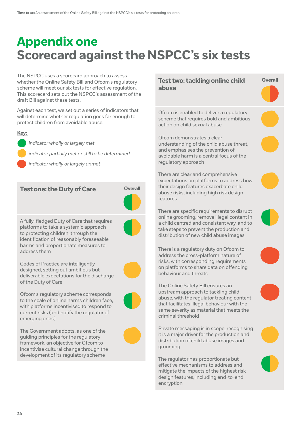# <span id="page-23-0"></span>**Appendix one Scorecard against the NSPCC's six tests**

The NSPCC uses a scorecard approach to assess whether the Online Safety Bill and Ofcom's regulatory scheme will meet our six tests for effective regulation. This scorecard sets out the NSPCC's assessment of the draft Bill against these tests.

Against each test, we set out a series of indicators that will determine whether regulation goes far enough to protect children from avoidable abuse.

#### **Key:**

*indicator wholly or largely met*

*indicator partially met or still to be determined*

*indicator wholly or largely unmet*

#### **Test one: the Duty of Care Overall**



A fully-fledged Duty of Care that requires platforms to take a systemic approach to protecting children, through the identification of reasonably foreseeable harms and proportionate measures to address them



Codes of Practice are intelligently designed, setting out ambitious but deliverable expectations for the discharge of the Duty of Care

Ofcom's regulatory scheme corresponds to the scale of online harms children face, with platforms incentivised to respond to current risks (and notify the regulator of emerging ones)

The Government adopts, as one of the guiding principles for the regulatory framework, an objective for Ofcom to incentivise cultural change through the development of its regulatory scheme

#### **Test two: tackling online child abuse**

**Overall**

Ofcom is enabled to deliver a regulatory scheme that requires bold and ambitious action on child sexual abuse

Ofcom demonstrates a clear understanding of the child abuse threat, and emphasises the prevention of avoidable harm is a central focus of the regulatory approach

There are clear and comprehensive expectations on platforms to address how their design features exacerbate child abuse risks, including high risk design features

There are specific requirements to disrupt online grooming, remove illegal content in a child centred and consistent way, and to take steps to prevent the production and distribution of new child abuse images

There is a regulatory duty on Ofcom to address the cross-platform nature of risks, with corresponding requirements on platforms to share data on offending behaviour and threats

The Online Safety Bill ensures an upstream approach to tackling child abuse, with the regulator treating content that facilitates illegal behaviour with the same severity as material that meets the criminal threshold

Private messaging is in scope, recognising it is a major driver for the production and distribution of child abuse images and grooming

The regulator has proportionate but effective mechanisms to address and mitigate the impacts of the highest risk design features, including end-to-end encryption

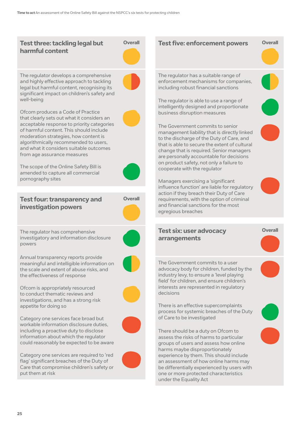#### **Test three: tackling legal but harmful content**



The regulator develops a comprehensive and highly effective approach to tackling legal but harmful content, recognising its significant impact on children's safety and well-being

Ofcom produces a Code of Practice that clearly sets out what it considers an acceptable response to priority categories of harmful content. This should include moderation strategies, how content is algorithmically recommended to users, and what it considers suitable outcomes from age assurance measures



The scope of the Online Safety Bill is amended to capture all commercial pornography sites

**Test four: transparency and investigation powers**



The regulator has comprehensive investigatory and information disclosure powers



Annual transparency reports provide meaningful and intelligible information on the scale and extent of abuse risks, and the effectiveness of response

Ofcom is appropriately resourced to conduct thematic reviews and investigations, and has a strong risk appetite for doing so



Category one services face broad but workable information disclosure duties, including a proactive duty to disclose information about which the regulator could reasonably be expected to be aware

Category one services are required to 'red flag' significant breaches of the Duty of Care that compromise children's safety or put them at risk



**Test five: enforcement powers** Overall

experience by them. This should include an assessment of how online harms may be differentially experienced by users with one or more protected characteristics under the Equality Act